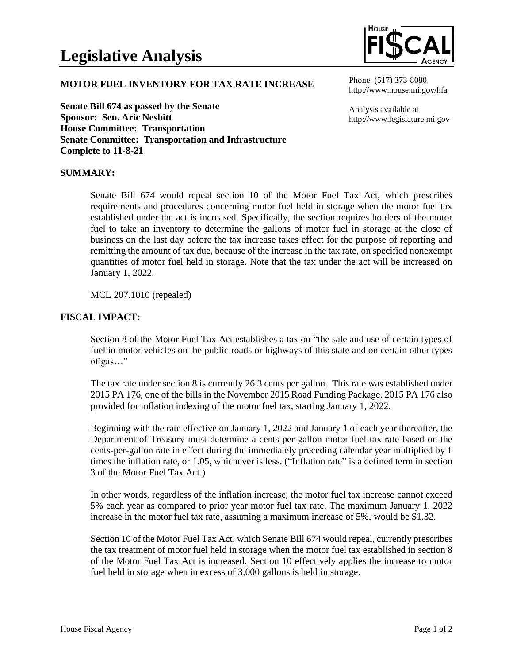

## **MOTOR FUEL INVENTORY FOR TAX RATE INCREASE**

**Senate Bill 674 as passed by the Senate Sponsor: Sen. Aric Nesbitt House Committee: Transportation Senate Committee: Transportation and Infrastructure Complete to 11-8-21**

Phone: (517) 373-8080 http://www.house.mi.gov/hfa

Analysis available at http://www.legislature.mi.gov

## **SUMMARY:**

Senate Bill 674 would repeal section 10 of the Motor Fuel Tax Act, which prescribes requirements and procedures concerning motor fuel held in storage when the motor fuel tax established under the act is increased. Specifically, the section requires holders of the motor fuel to take an inventory to determine the gallons of motor fuel in storage at the close of business on the last day before the tax increase takes effect for the purpose of reporting and remitting the amount of tax due, because of the increase in the tax rate, on specified nonexempt quantities of motor fuel held in storage. Note that the tax under the act will be increased on January 1, 2022.

MCL 207.1010 (repealed)

## **FISCAL IMPACT:**

Section 8 of the Motor Fuel Tax Act establishes a tax on "the sale and use of certain types of fuel in motor vehicles on the public roads or highways of this state and on certain other types of gas…"

The tax rate under section 8 is currently 26.3 cents per gallon. This rate was established under 2015 PA 176, one of the bills in the November 2015 Road Funding Package. 2015 PA 176 also provided for inflation indexing of the motor fuel tax, starting January 1, 2022.

Beginning with the rate effective on January 1, 2022 and January 1 of each year thereafter, the Department of Treasury must determine a cents-per-gallon motor fuel tax rate based on the cents-per-gallon rate in effect during the immediately preceding calendar year multiplied by 1 times the inflation rate, or 1.05, whichever is less. ("Inflation rate" is a defined term in section 3 of the Motor Fuel Tax Act.)

In other words, regardless of the inflation increase, the motor fuel tax increase cannot exceed 5% each year as compared to prior year motor fuel tax rate. The maximum January 1, 2022 increase in the motor fuel tax rate, assuming a maximum increase of 5%, would be \$1.32.

Section 10 of the Motor Fuel Tax Act, which Senate Bill 674 would repeal, currently prescribes the tax treatment of motor fuel held in storage when the motor fuel tax established in section 8 of the Motor Fuel Tax Act is increased. Section 10 effectively applies the increase to motor fuel held in storage when in excess of 3,000 gallons is held in storage.